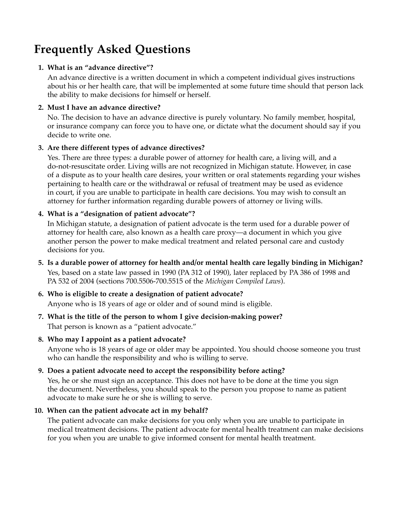# **Frequently Asked Questions**

### **1. What is an "advance directive"?**

An advance directive is a written document in which a competent individual gives instructions about his or her health care, that will be implemented at some future time should that person lack the ability to make decisions for himself or herself.

## **2. Must I have an advance directive?**

No. The decision to have an advance directive is purely voluntary. No family member, hospital, or insurance company can force you to have one, or dictate what the document should say if you decide to write one.

## **3. Are there different types of advance directives?**

Yes. There are three types: a durable power of attorney for health care, a living will, and a do-not-resuscitate order. Living wills are not recognized in Michigan statute. However, in case of a dispute as to your health care desires, your written or oral statements regarding your wishes pertaining to health care or the withdrawal or refusal of treatment may be used as evidence in court, if you are unable to participate in health care decisions. You may wish to consult an attorney for further information regarding durable powers of attorney or living wills.

## **4. What is a "designation of patient advocate"?**

In Michigan statute, a designation of patient advocate is the term used for a durable power of attorney for health care, also known as a health care proxy—a document in which you give another person the power to make medical treatment and related personal care and custody decisions for you.

 **5. Is a durable power of attorney for health and/or mental health care legally binding in Michigan?** Yes, based on a state law passed in 1990 (PA 312 of 1990), later replaced by PA 386 of 1998 and PA 532 of 2004 (sections 700.5506-700.5515 of the *Michigan Compiled Laws*).

## **6. Who is eligible to create a designation of patient advocate?** Anyone who is 18 years of age or older and of sound mind is eligible.

 **7. What is the title of the person to whom I give decision-making power?** That person is known as a "patient advocate."

## **8. Who may I appoint as a patient advocate?**

Anyone who is 18 years of age or older may be appointed. You should choose someone you trust who can handle the responsibility and who is willing to serve.

## **9. Does a patient advocate need to accept the responsibility before acting?**

Yes, he or she must sign an acceptance. This does not have to be done at the time you sign the document. Nevertheless, you should speak to the person you propose to name as patient advocate to make sure he or she is willing to serve.

## **10. When can the patient advocate act in my behalf?**

The patient advocate can make decisions for you only when you are unable to participate in medical treatment decisions. The patient advocate for mental health treatment can make decisions for you when you are unable to give informed consent for mental health treatment.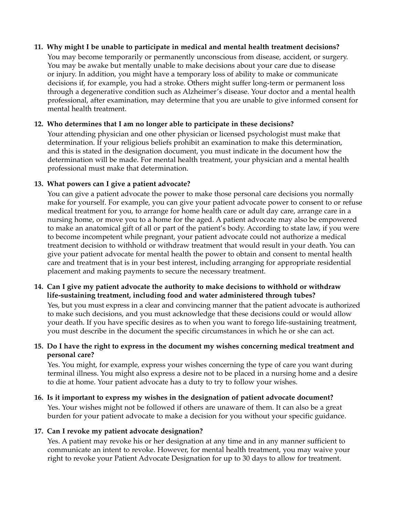#### **11. Why might I be unable to participate in medical and mental health treatment decisions?**

You may become temporarily or permanently unconscious from disease, accident, or surgery. You may be awake but mentally unable to make decisions about your care due to disease or injury. In addition, you might have a temporary loss of ability to make or communicate decisions if, for example, you had a stroke. Others might suffer long-term or permanent loss through a degenerative condition such as Alzheimer's disease. Your doctor and a mental health professional, after examination, may determine that you are unable to give informed consent for mental health treatment.

#### **12. Who determines that I am no longer able to participate in these decisions?**

Your attending physician and one other physician or licensed psychologist must make that determination. If your religious beliefs prohibit an examination to make this determination, and this is stated in the designation document, you must indicate in the document how the determination will be made. For mental health treatment, your physician and a mental health professional must make that determination.

#### **13. What powers can I give a patient advocate?**

You can give a patient advocate the power to make those personal care decisions you normally make for yourself. For example, you can give your patient advocate power to consent to or refuse medical treatment for you, to arrange for home health care or adult day care, arrange care in a nursing home, or move you to a home for the aged. A patient advocate may also be empowered to make an anatomical gift of all or part of the patient's body. According to state law, if you were to become incompetent while pregnant, your patient advocate could not authorize a medical treatment decision to withhold or withdraw treatment that would result in your death. You can give your patient advocate for mental health the power to obtain and consent to mental health care and treatment that is in your best interest, including arranging for appropriate residential placement and making payments to secure the necessary treatment.

#### **14. Can I give my patient advocate the authority to make decisions to withhold or withdraw life-sustaining treatment, including food and water administered through tubes?**

Yes, but you must express in a clear and convincing manner that the patient advocate is authorized to make such decisions, and you must acknowledge that these decisions could or would allow your death. If you have specific desires as to when you want to forego life-sustaining treatment, you must describe in the document the specific circumstances in which he or she can act.

#### **15. Do I have the right to express in the document my wishes concerning medical treatment and personal care?**

Yes. You might, for example, express your wishes concerning the type of care you want during terminal illness. You might also express a desire not to be placed in a nursing home and a desire to die at home. Your patient advocate has a duty to try to follow your wishes.

## **16. Is it important to express my wishes in the designation of patient advocate document?**

Yes. Your wishes might not be followed if others are unaware of them. It can also be a great burden for your patient advocate to make a decision for you without your specific guidance.

#### **17. Can I revoke my patient advocate designation?**

Yes. A patient may revoke his or her designation at any time and in any manner sufficient to communicate an intent to revoke. However, for mental health treatment, you may waive your right to revoke your Patient Advocate Designation for up to 30 days to allow for treatment.